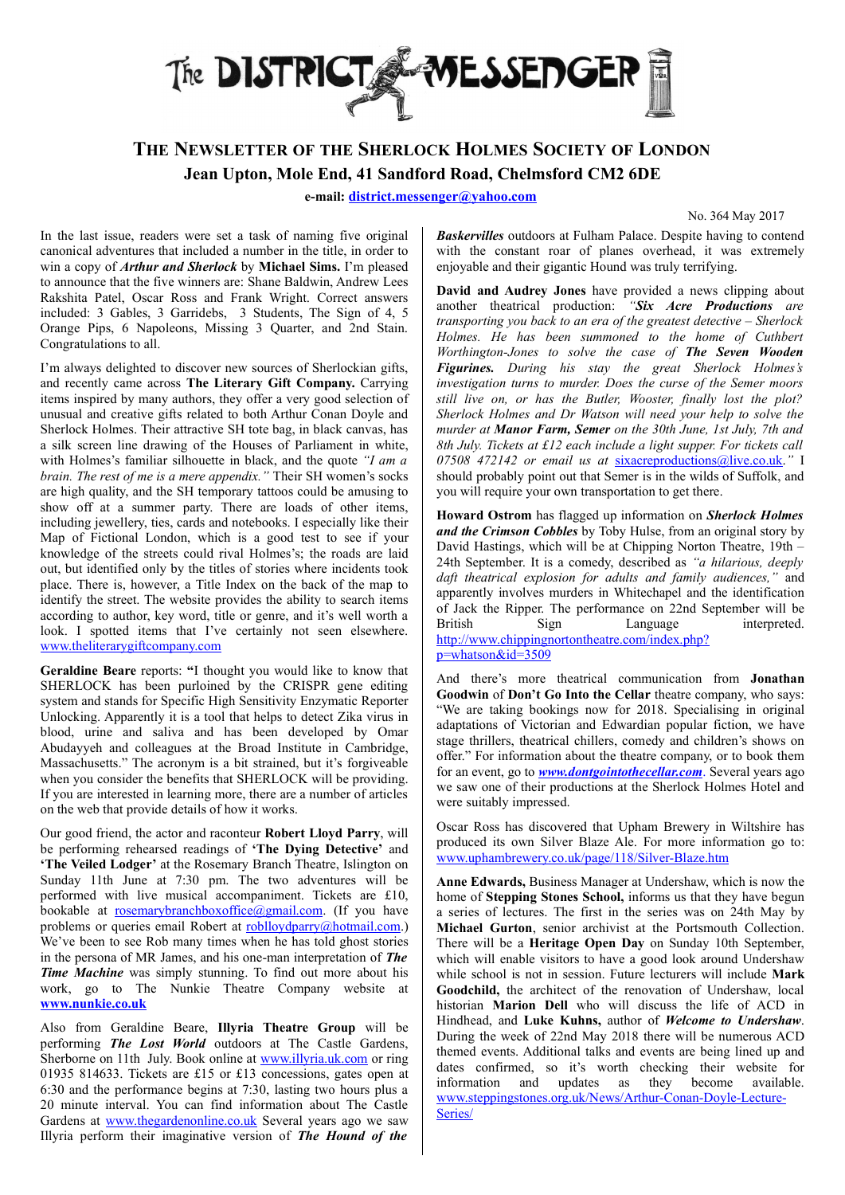

## THE NEWSLETTER OF THE SHERLOCK HOLMES SOCIETY OF LONDON

Jean Upton, Mole End, 41 Sandford Road, Chelmsford CM2 6DE

e-mail: district.messenger@yahoo.com

No. 364 May 2017

In the last issue, readers were set a task of naming five original canonical adventures that included a number in the title, in order to win a copy of *Arthur and Sherlock* by Michael Sims. I'm pleased to announce that the five winners are: Shane Baldwin, Andrew Lees Rakshita Patel, Oscar Ross and Frank Wright. Correct answers included: 3 Gables, 3 Garridebs, 3 Students, The Sign of 4, 5 Orange Pips, 6 Napoleons, Missing 3 Quarter, and 2nd Stain. Congratulations to all.

I'm always delighted to discover new sources of Sherlockian gifts, and recently came across The Literary Gift Company. Carrying items inspired by many authors, they offer a very good selection of unusual and creative gifts related to both Arthur Conan Doyle and Sherlock Holmes. Their attractive SH tote bag, in black canvas, has a silk screen line drawing of the Houses of Parliament in white, with Holmes's familiar silhouette in black, and the quote "I am a brain. The rest of me is a mere appendix." Their SH women's socks are high quality, and the SH temporary tattoos could be amusing to show off at a summer party. There are loads of other items, including jewellery, ties, cards and notebooks. I especially like their Map of Fictional London, which is a good test to see if your knowledge of the streets could rival Holmes's; the roads are laid out, but identified only by the titles of stories where incidents took place. There is, however, a Title Index on the back of the map to identify the street. The website provides the ability to search items according to author, key word, title or genre, and it's well worth a look. I spotted items that I've certainly not seen elsewhere. www.theliterarygiftcompany.com

Geraldine Beare reports: "I thought you would like to know that SHERLOCK has been purloined by the CRISPR gene editing system and stands for Specific High Sensitivity Enzymatic Reporter Unlocking. Apparently it is a tool that helps to detect Zika virus in blood, urine and saliva and has been developed by Omar Abudayyeh and colleagues at the Broad Institute in Cambridge, Massachusetts." The acronym is a bit strained, but it's forgiveable when you consider the benefits that SHERLOCK will be providing. If you are interested in learning more, there are a number of articles on the web that provide details of how it works.

Our good friend, the actor and raconteur Robert Lloyd Parry, will be performing rehearsed readings of 'The Dying Detective' and 'The Veiled Lodger' at the Rosemary Branch Theatre, Islington on Sunday 11th June at 7:30 pm. The two adventures will be performed with live musical accompaniment. Tickets are £10, bookable at rosemarybranchboxoffice@gmail.com. (If you have problems or queries email Robert at roblloydparry@hotmail.com.) We've been to see Rob many times when he has told ghost stories in the persona of MR James, and his one-man interpretation of The **Time Machine** was simply stunning. To find out more about his work, go to The Nunkie Theatre Company website at www.nunkie.co.uk

Also from Geraldine Beare, Illyria Theatre Group will be performing The Lost World outdoors at The Castle Gardens, Sherborne on 11th July. Book online at www.illyria.uk.com or ring 01935 814633. Tickets are £15 or £13 concessions, gates open at 6:30 and the performance begins at 7:30, lasting two hours plus a 20 minute interval. You can find information about The Castle Gardens at www.thegardenonline.co.uk Several years ago we saw Illyria perform their imaginative version of The Hound of the

Baskervilles outdoors at Fulham Palace. Despite having to contend with the constant roar of planes overhead, it was extremely enjoyable and their gigantic Hound was truly terrifying.

David and Audrey Jones have provided a news clipping about another theatrical production: "Six Acre Productions are transporting you back to an era of the greatest detective  $-$  Sherlock Holmes. He has been summoned to the home of Cuthbert Worthington-Jones to solve the case of The Seven Wooden Figurines. During his stay the great Sherlock Holmes's investigation turns to murder. Does the curse of the Semer moors still live on, or has the Butler, Wooster, finally lost the plot? Sherlock Holmes and Dr Watson will need your help to solve the murder at **Manor Farm, Semer** on the 30th June, 1st July, 7th and 8th July. Tickets at £12 each include a light supper. For tickets call 07508 472142 or email us at sixacreproductions@live.co.uk." I should probably point out that Semer is in the wilds of Suffolk, and you will require your own transportation to get there.

Howard Ostrom has flagged up information on Sherlock Holmes and the Crimson Cobbles by Toby Hulse, from an original story by David Hastings, which will be at Chipping Norton Theatre, 19th – 24th September. It is a comedy, described as "a hilarious, deeply daft theatrical explosion for adults and family audiences," and apparently involves murders in Whitechapel and the identification of Jack the Ripper. The performance on 22nd September will be British Sign Language interpreted. http://www.chippingnortontheatre.com/index.php? p=whatson&id=3509

And there's more theatrical communication from Jonathan Goodwin of Don't Go Into the Cellar theatre company, who says: "We are taking bookings now for 2018. Specialising in original adaptations of Victorian and Edwardian popular fiction, we have stage thrillers, theatrical chillers, comedy and children's shows on offer." For information about the theatre company, or to book them for an event, go to *www.dontgointothecellar.com*. Several years ago we saw one of their productions at the Sherlock Holmes Hotel and were suitably impressed.

Oscar Ross has discovered that Upham Brewery in Wiltshire has produced its own Silver Blaze Ale. For more information go to: www.uphambrewery.co.uk/page/118/Silver-Blaze.htm

Anne Edwards, Business Manager at Undershaw, which is now the home of Stepping Stones School, informs us that they have begun a series of lectures. The first in the series was on 24th May by Michael Gurton, senior archivist at the Portsmouth Collection. There will be a Heritage Open Day on Sunday 10th September, which will enable visitors to have a good look around Undershaw while school is not in session. Future lecturers will include Mark Goodchild, the architect of the renovation of Undershaw, local historian Marion Dell who will discuss the life of ACD in Hindhead, and Luke Kuhns, author of Welcome to Undershaw. During the week of 22nd May 2018 there will be numerous ACD themed events. Additional talks and events are being lined up and dates confirmed, so it's worth checking their website for information and updates as they become available. www.steppingstones.org.uk/News /Arthur-Conan-Doyle-Lecture-Series/